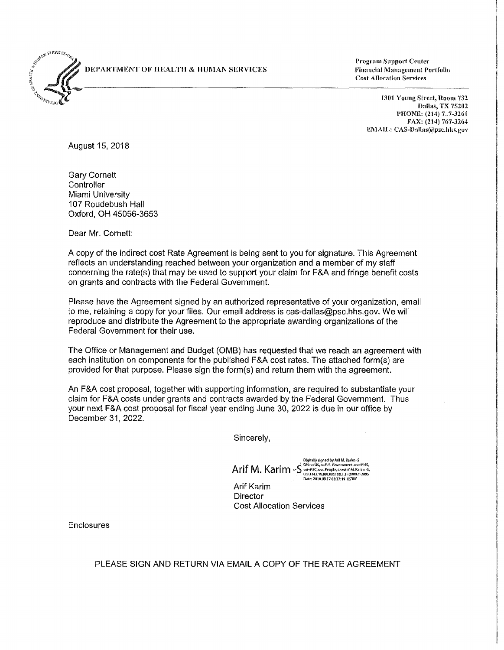**DEPARTMENT OF HEALTH & HUMAN SERVICES** 



**Program Support Center Financial Management Portfolio Cost Allocation Services** 

> **1301 Young Street, Room 732 Dallas, TX 75202 PHONE; (214) 767-3261 FAX: (214) 767-3264 EMAIL: [CAS-Dallas@psc.hhs.gov](mailto:CAS-Dallas@psc.hhs.gov)**

August 15, 2018

Gary Cornett **Controller** Miami University 107 Roudebush Hall Oxford, OH 45056-3653

Dear Mr. Cornett:

A copy of the indirect cost Rate Agreement is being sent to you for signature. This Agreement reflects an understanding reached between your organization and a member of my staff concerning the rate(s) that may be used to support your claim for F&A and fringe benefit costs on grants and contracts with the Federal Government.

Please have the Agreement signed by an authorized representative of your organization, email to me, retaining a copy for your files. Our email address is [cas-dallas@psc.hhs.gov.](mailto:CAS-Dallas@psc.hhs.gov) We will reproduce and distribute the Agreement to the appropriate awarding organizations of the Federal Government for their use.

The Office or Management and Budget (OMB) has requested that we reach an agreement with each institution on components for the published F&A cost rates. The attached form(s) are provided for that purpose. Please sign the form(s) and return them with the agreement.

An F&A cost proposal, together with supporting information, are required to substantiate your claim for F&A costs under grants and contracts awarded by the Federal Government. Thus your next F&A cost proposal for fiscal year ending June 30, 2022 is due in our office by December 31, 2022.

Sincerely,

Arif M. Karim-S **Digitally signedby Arif M. Karim -S ON: c=US, o=U.S. Government, ou=HHS, ou=PSC ou=People,cn=Arif M. Karim-S, 0,92342.19200300.100.1.1 =2000212895 Date: 2018.08.17 08:37:44 -05'00'** 

Arif Karim

**Director** Cost Allocation Services

Enclosures

PLEASE SIGN AND RETURN VIA EMAIL A COPY OF THE RATE AGREEMENT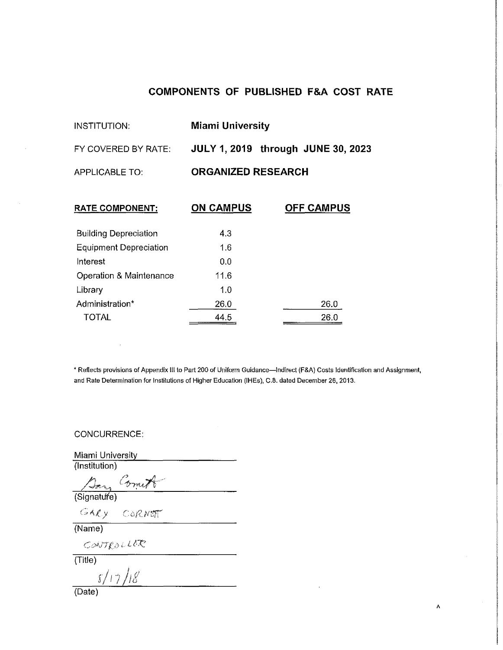# **COMPONENTS OF PUBLISHED F&A COST RATE**

| INSTITUTION:          | <b>Miami University</b>                   |
|-----------------------|-------------------------------------------|
| FY COVERED BY RATE:   | <b>JULY 1, 2019</b> through JUNE 30, 2023 |
| <b>APPLICABLE TO:</b> | <b>ORGANIZED RESEARCH</b>                 |

| <b>RATE COMPONENT:</b>        | <b>ON CAMPUS</b> | <b>OFF CAMPUS</b> |
|-------------------------------|------------------|-------------------|
| <b>Building Depreciation</b>  | 4.3              |                   |
| <b>Equipment Depreciation</b> | 1.6              |                   |
| Interest                      | 0.0              |                   |
| Operation & Maintenance       | 11.6             |                   |
| Library                       | 1.0              |                   |
| Administration*               | 26.0             | 26.0              |
| <b>TOTAL</b>                  | 44.5             | 26.0              |

\* Reflects provisions of Appendix III to Part 200 of Uniform Guidance—Indirect (F&A) Costs Identification and Assignment, and Rate Determination for Institutions of Higher Education (IHEs), C.8. dated December 26, 2013.

 $\pmb{\Lambda}$ 

CONCURRENCE:

Miami University (Institution)

Bang Commit

 $\frac{GAV}{(Name)}$ 

CONTROLLER

(Title) *8/17/18* 

(Date)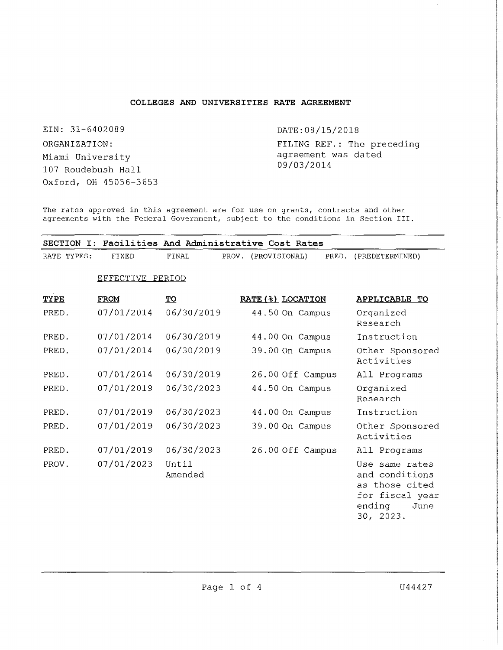# **COLLEGES AND UNIVERSITIES RATE AGREEMENT**

EIN: 31-6402089 ORGANIZATION: Miami University 107 Roudebush Hall Oxford, OH 45056-3653 DATE: 08/15/2018

FILING REF.: The preceding agreement was dated 09/03/2014

The rates approved in this agreement are for use on grants, contracts and other agreements with the Federal Government, subject to the conditions in Section III.

|             | SECTION I: Facilities And Administrative Cost Rates |                  |                     |                   |       |                                                                                         |
|-------------|-----------------------------------------------------|------------------|---------------------|-------------------|-------|-----------------------------------------------------------------------------------------|
| RATE TYPES: | <b>FIXED</b>                                        | FINAL            | PROV. (PROVISIONAL) |                   | PRED. | (PREDETERMINED)                                                                         |
|             | EFFECTIVE PERIOD                                    |                  |                     |                   |       |                                                                                         |
| TYPE        | <b>FROM</b>                                         | <u>TO</u>        |                     | RATE (%) LOCATION |       | <b>APPLICABLE TO</b>                                                                    |
| PRED.       | 07/01/2014                                          | 06/30/2019       |                     | 44.50 On Campus   |       | Organized<br>Research                                                                   |
| PRED.       | 07/01/2014                                          | 06/30/2019       |                     | 44.00 On Campus   |       | Instruction                                                                             |
| PRED.       | 07/01/2014                                          | 06/30/2019       |                     | 39.00 On Campus   |       | Other Sponsored<br>Activities                                                           |
| PRED.       | 07/01/2014                                          | 06/30/2019       |                     | 26.00 Off Campus  |       | All Programs                                                                            |
| PRED.       | 07/01/2019                                          | 06/30/2023       |                     | 44.50 On Campus   |       | Organized<br>Research                                                                   |
| PRED.       | 07/01/2019                                          | 06/30/2023       |                     | 44.00 On Campus   |       | Instruction                                                                             |
| PRED.       | 07/01/2019                                          | 06/30/2023       |                     | 39.00 On Campus   |       | Other Sponsored<br>Activities                                                           |
| PRED.       | 07/01/2019                                          | 06/30/2023       |                     | 26.00 Off Campus  |       | All Programs                                                                            |
| PROV.       | 07/01/2023                                          | Until<br>Amended |                     |                   |       | Use same rates<br>and conditions<br>as those cited<br>for fiscal year<br>ending<br>June |

30, 2023.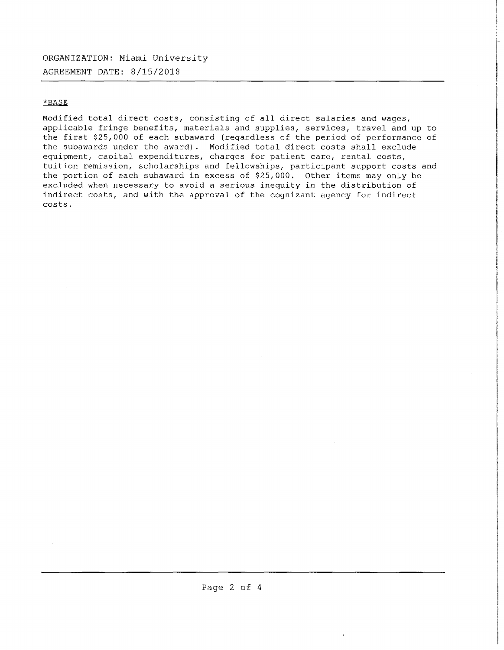# ORGANIZATION: Miami University AGREEMENT DATE: 8/15/2018

# \*BASE

Modified total direct costs, consisting of all direct salaries and wages, applicable fringe benefits, materials and supplies, services, travel and up to the first \$25,000 of each subaward (regardless of the period of performance of the subawards under the award). Modified total direct costs shall exclude equipment, capital expenditures, charges for patient care, rental costs, tuition remission, scholarships and fellowships, participant support costs and the portion of each subaward in excess of \$25,000. Other items may only be excluded when necessary to avoid a serious inequity in the distribution of indirect costs, and with the approval of the cognizant agency for indirect costs.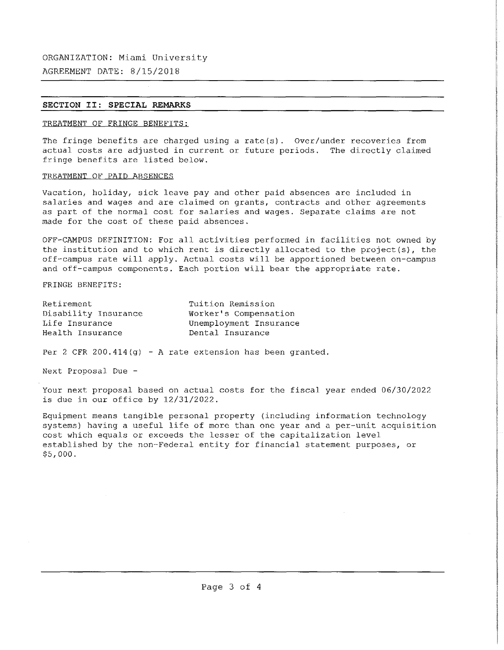AGREEMENT DATE: 8/15/2018

## **SECTION II: SPECIAL REMARKS**

### TREATMENT OF FRINGE BENEFITS:

The fringe benefits are charged using a rate(s). Over/under recoveries from actual costs are adjusted in current or future periods. The directly claimed fringe benefits are listed below.

## TREATMENT OF PAID ABSENCES

Vacation, holiday, sick leave pay and other paid absences are included in salaries and wages and are claimed on grants, contracts and other agreements as part of the normal cost for salaries and wages. Separate claims are not made for the cost of these paid absences.

OFF-CAMPUS DEFINITION: For all activities performed in facilities not owned by the institution and to which rent is directly allocated to the project(s), the off-campus rate will apply. Actual costs will be apportioned between on-campus and off-campus components. Each portion will bear the appropriate rate.

FRINGE BENEFITS:

| Retirement           | Tuition Remission      |
|----------------------|------------------------|
| Disability Insurance | Worker's Compensation  |
| Life Insurance       | Unemployment Insurance |
| Health Insurance     | Dental Insurance       |

Per 2 CFR 200.414(g) - A rate extension has been granted.

Next Proposal Due -

Your next proposal based on actual costs for the fiscal year ended 06/30/2022 is due in our office by 12/31/2022.

Equipment means tangible personal property (including information technology systems) having a useful life of more than one year and a per-unit acquisition cost which equals or exceeds the lesser of the capitalization level established by the non-Federal entity for financial statement purposes, or \$5,000.